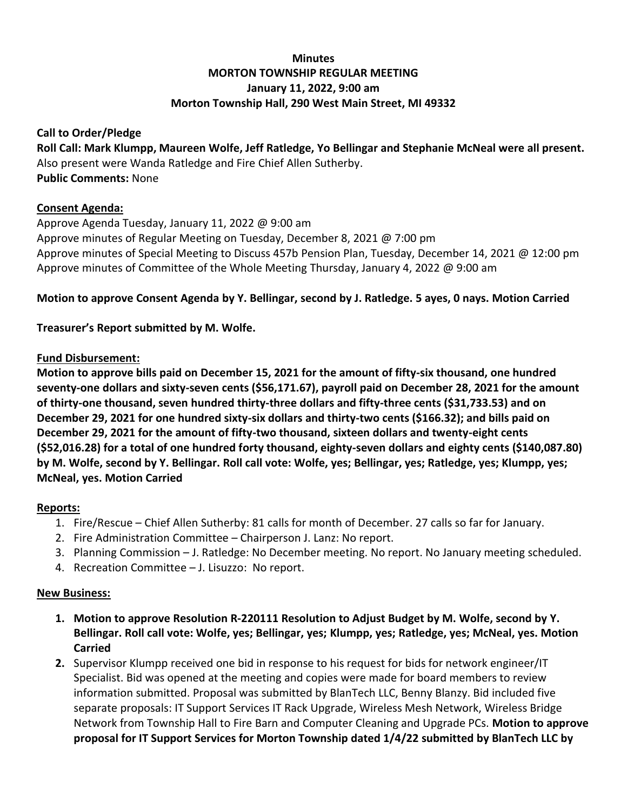# **Minutes MORTON TOWNSHIP REGULAR MEETING January 11, 2022, 9:00 am Morton Township Hall, 290 West Main Street, MI 49332**

### **Call to Order/Pledge**

**Roll Call: Mark Klumpp, Maureen Wolfe, Jeff Ratledge, Yo Bellingar and Stephanie McNeal were all present.** Also present were Wanda Ratledge and Fire Chief Allen Sutherby. **Public Comments:** None

### **Consent Agenda:**

Approve Agenda Tuesday, January 11, 2022 @ 9:00 am Approve minutes of Regular Meeting on Tuesday, December 8, 2021 @ 7:00 pm Approve minutes of Special Meeting to Discuss 457b Pension Plan, Tuesday, December 14, 2021 @ 12:00 pm Approve minutes of Committee of the Whole Meeting Thursday, January 4, 2022 @ 9:00 am

## **Motion to approve Consent Agenda by Y. Bellingar, second by J. Ratledge. 5 ayes, 0 nays. Motion Carried**

## **Treasurer's Report submitted by M. Wolfe.**

### **Fund Disbursement:**

**Motion to approve bills paid on December 15, 2021 for the amount of fifty-six thousand, one hundred seventy-one dollars and sixty-seven cents (\$56,171.67), payroll paid on December 28, 2021 for the amount of thirty-one thousand, seven hundred thirty-three dollars and fifty-three cents (\$31,733.53) and on December 29, 2021 for one hundred sixty-six dollars and thirty-two cents (\$166.32); and bills paid on December 29, 2021 for the amount of fifty-two thousand, sixteen dollars and twenty-eight cents (\$52,016.28) for a total of one hundred forty thousand, eighty-seven dollars and eighty cents (\$140,087.80) by M. Wolfe, second by Y. Bellingar. Roll call vote: Wolfe, yes; Bellingar, yes; Ratledge, yes; Klumpp, yes; McNeal, yes. Motion Carried**

### **Reports:**

- 1. Fire/Rescue Chief Allen Sutherby: 81 calls for month of December. 27 calls so far for January.
- 2. Fire Administration Committee Chairperson J. Lanz: No report.
- 3. Planning Commission J. Ratledge: No December meeting. No report. No January meeting scheduled.
- 4. Recreation Committee J. Lisuzzo: No report.

### **New Business:**

- **1. Motion to approve Resolution R-220111 Resolution to Adjust Budget by M. Wolfe, second by Y. Bellingar. Roll call vote: Wolfe, yes; Bellingar, yes; Klumpp, yes; Ratledge, yes; McNeal, yes. Motion Carried**
- **2.** Supervisor Klumpp received one bid in response to his request for bids for network engineer/IT Specialist. Bid was opened at the meeting and copies were made for board members to review information submitted. Proposal was submitted by BlanTech LLC, Benny Blanzy. Bid included five separate proposals: IT Support Services IT Rack Upgrade, Wireless Mesh Network, Wireless Bridge Network from Township Hall to Fire Barn and Computer Cleaning and Upgrade PCs. **Motion to approve proposal for IT Support Services for Morton Township dated 1/4/22 submitted by BlanTech LLC by**